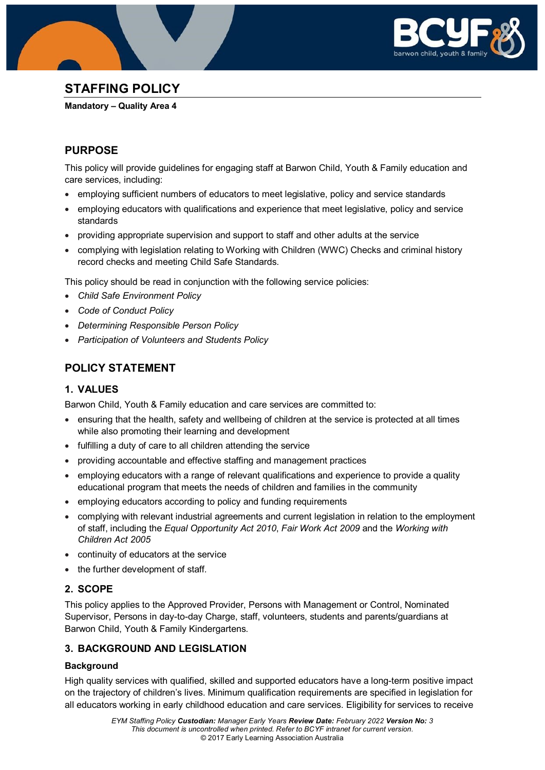

# **STAFFING POLICY**

**Mandatory – Quality Area 4**

## **PURPOSE**

This policy will provide guidelines for engaging staff at Barwon Child, Youth & Family education and care services, including:

- employing sufficient numbers of educators to meet legislative, policy and service standards
- employing educators with qualifications and experience that meet legislative, policy and service standards
- providing appropriate supervision and support to staff and other adults at the service
- complying with legislation relating to Working with Children (WWC) Checks and criminal history record checks and meeting Child Safe Standards.

This policy should be read in conjunction with the following service policies:

- *Child Safe Environment Policy*
- *Code of Conduct Policy*
- *Determining Responsible Person Policy*
- *Participation of Volunteers and Students Policy*

## **POLICY STATEMENT**

## **1. VALUES**

Barwon Child, Youth & Family education and care services are committed to:

- ensuring that the health, safety and wellbeing of children at the service is protected at all times while also promoting their learning and development
- fulfilling a duty of care to all children attending the service
- providing accountable and effective staffing and management practices
- employing educators with a range of relevant qualifications and experience to provide a quality educational program that meets the needs of children and families in the community
- employing educators according to policy and funding requirements
- complying with relevant industrial agreements and current legislation in relation to the employment of staff, including the *Equal Opportunity Act 2010*, *Fair Work Act 2009* and the *Working with Children Act 2005*
- continuity of educators at the service
- the further development of staff*.*

## **2. SCOPE**

This policy applies to the Approved Provider, Persons with Management or Control, Nominated Supervisor, Persons in day-to-day Charge, staff, volunteers, students and parents/guardians at Barwon Child, Youth & Family Kindergartens.

## **3. BACKGROUND AND LEGISLATION**

## **Background**

High quality services with qualified, skilled and supported educators have a long-term positive impact on the trajectory of children's lives. Minimum qualification requirements are specified in legislation for all educators working in early childhood education and care services. Eligibility for services to receive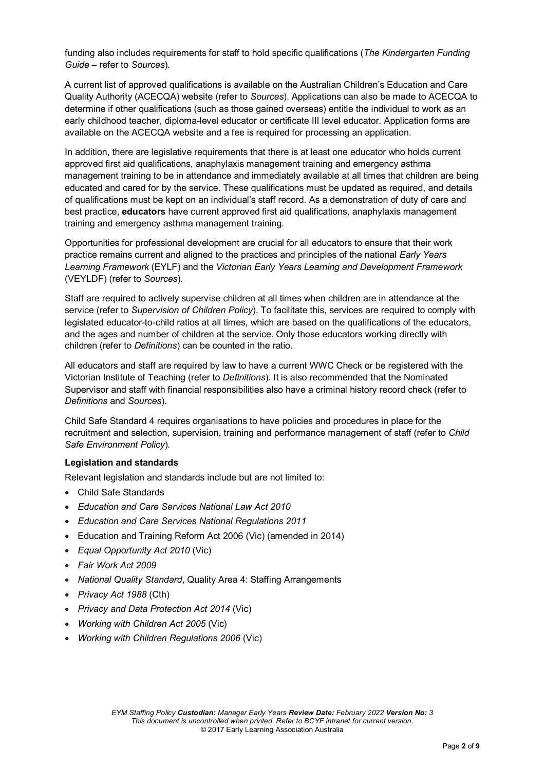funding also includes requirements for staff to hold specific qualifications (*The Kindergarten Funding Guide –* refer to *Sources*)*.*

A current list of approved qualifications is available on the Australian Children's Education and Care Quality Authority (ACECQA) website (refer to *Sources*). Applications can also be made to ACECQA to determine if other qualifications (such as those gained overseas) entitle the individual to work as an early childhood teacher, diploma-level educator or certificate III level educator. Application forms are available on the ACECQA website and a fee is required for processing an application.

In addition, there are legislative requirements that there is at least one educator who holds current approved first aid qualifications, anaphylaxis management training and emergency asthma management training to be in attendance and immediately available at all times that children are being educated and cared for by the service. These qualifications must be updated as required, and details of qualifications must be kept on an individual's staff record. As a demonstration of duty of care and best practice, **educators** have current approved first aid qualifications, anaphylaxis management training and emergency asthma management training.

Opportunities for professional development are crucial for all educators to ensure that their work practice remains current and aligned to the practices and principles of the national *Early Years Learning Framework* (EYLF) and the *Victorian Early Years Learning and Development Framework* (VEYLDF) (refer to *Sources*).

Staff are required to actively supervise children at all times when children are in attendance at the service (refer to *Supervision of Children Policy*). To facilitate this, services are required to comply with legislated educator-to-child ratios at all times, which are based on the qualifications of the educators, and the ages and number of children at the service. Only those educators working directly with children (refer to *Definitions*) can be counted in the ratio.

All educators and staff are required by law to have a current WWC Check or be registered with the Victorian Institute of Teaching (refer to *Definitions*). It is also recommended that the Nominated Supervisor and staff with financial responsibilities also have a criminal history record check (refer to *Definitions* and *Sources*).

Child Safe Standard 4 requires organisations to have policies and procedures in place for the recruitment and selection, supervision, training and performance management of staff (refer to *Child Safe Environment Policy*).

#### **Legislation and standards**

Relevant legislation and standards include but are not limited to:

- Child Safe Standards
- *Education and Care Services National Law Act 2010*
- *Education and Care Services National Regulations 2011*
- Education and Training Reform Act 2006 (Vic) (amended in 2014)
- *Equal Opportunity Act 2010* (Vic)
- *Fair Work Act 2009*
- *National Quality Standard*, Quality Area 4: Staffing Arrangements
- *Privacy Act 1988* (Cth)
- *Privacy and Data Protection Act 2014* (Vic)
- *Working with Children Act 2005* (Vic)
- *Working with Children Regulations 2006* (Vic)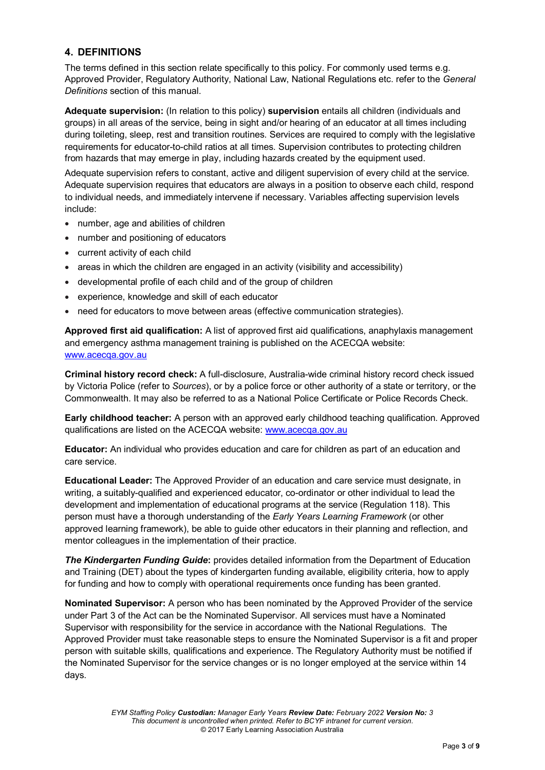## **4. DEFINITIONS**

The terms defined in this section relate specifically to this policy. For commonly used terms e.g. Approved Provider, Regulatory Authority, National Law, National Regulations etc. refer to the *General Definitions* section of this manual.

**Adequate supervision:** (In relation to this policy) **supervision** entails all children (individuals and groups) in all areas of the service, being in sight and/or hearing of an educator at all times including during toileting, sleep, rest and transition routines. Services are required to comply with the legislative requirements for educator-to-child ratios at all times. Supervision contributes to protecting children from hazards that may emerge in play, including hazards created by the equipment used.

Adequate supervision refers to constant, active and diligent supervision of every child at the service. Adequate supervision requires that educators are always in a position to observe each child, respond to individual needs, and immediately intervene if necessary. Variables affecting supervision levels include:

- number, age and abilities of children
- number and positioning of educators
- current activity of each child
- areas in which the children are engaged in an activity (visibility and accessibility)
- developmental profile of each child and of the group of children
- experience, knowledge and skill of each educator
- need for educators to move between areas (effective communication strategies).

**Approved first aid qualification:** A list of approved first aid qualifications, anaphylaxis management and emergency asthma management training is published on the ACECQA website: [www.acecqa.gov.au](http://www.acecqa.gov.au/)

**Criminal history record check:** A full-disclosure, Australia-wide criminal history record check issued by Victoria Police (refer to *Sources*), or by a police force or other authority of a state or territory, or the Commonwealth. It may also be referred to as a National Police Certificate or Police Records Check.

**Early childhood teacher:** A person with an approved early childhood teaching qualification. Approved qualifications are listed on the ACECQA website: [www.acecqa.gov.au](http://www.acecqa.gov.au/)

**Educator:** An individual who provides education and care for children as part of an education and care service.

**Educational Leader:** The Approved Provider of an education and care service must designate, in writing, a suitably-qualified and experienced educator, co-ordinator or other individual to lead the development and implementation of educational programs at the service (Regulation 118). This person must have a thorough understanding of the *Early Years Learning Framework* (or other approved learning framework), be able to guide other educators in their planning and reflection, and mentor colleagues in the implementation of their practice.

*The Kindergarten Funding Guide***:** provides detailed information from the Department of Education and Training (DET) about the types of kindergarten funding available, eligibility criteria, how to apply for funding and how to comply with operational requirements once funding has been granted.

**Nominated Supervisor:** A person who has been nominated by the Approved Provider of the service under Part 3 of the Act can be the Nominated Supervisor. All services must have a Nominated Supervisor with responsibility for the service in accordance with the National Regulations. The Approved Provider must take reasonable steps to ensure the Nominated Supervisor is a fit and proper person with suitable skills, qualifications and experience. The Regulatory Authority must be notified if the Nominated Supervisor for the service changes or is no longer employed at the service within 14 days.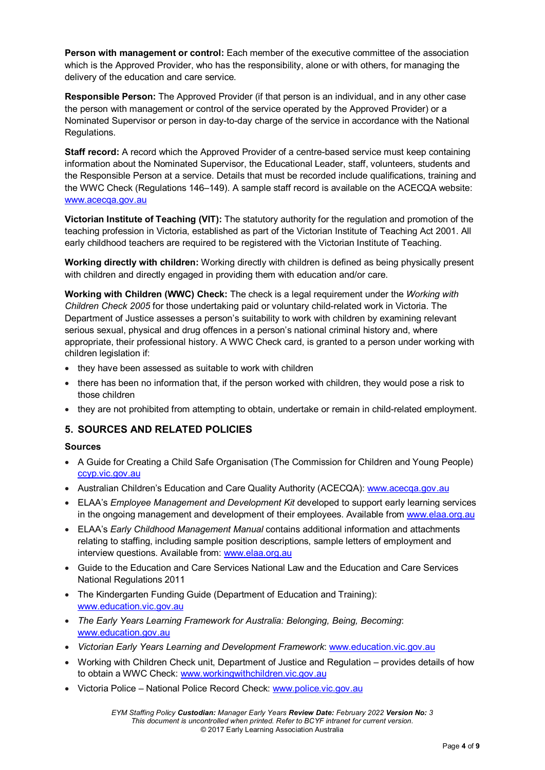**Person with management or control:** Each member of the executive committee of the association which is the Approved Provider, who has the responsibility, alone or with others, for managing the delivery of the education and care service.

**Responsible Person:** The Approved Provider (if that person is an individual, and in any other case the person with management or control of the service operated by the Approved Provider) or a Nominated Supervisor or person in day-to-day charge of the service in accordance with the National Regulations.

**Staff record:** A record which the Approved Provider of a centre-based service must keep containing information about the Nominated Supervisor, the Educational Leader, staff, volunteers, students and the Responsible Person at a service. Details that must be recorded include qualifications, training and the WWC Check (Regulations 146–149). A sample staff record is available on the ACECQA website: [www.acecqa.gov.au](http://www.acecqa.gov.au/)

**Victorian Institute of Teaching (VIT):** The statutory authority for the regulation and promotion of the teaching profession in Victoria, established as part of the Victorian Institute of Teaching Act 2001. All early childhood teachers are required to be registered with the Victorian Institute of Teaching.

**Working directly with children:** Working directly with children is defined as being physically present with children and directly engaged in providing them with education and/or care.

**Working with Children (WWC) Check:** The check is a legal requirement under the *Working with Children Check 2005* for those undertaking paid or voluntary child-related work in Victoria. The Department of Justice assesses a person's suitability to work with children by examining relevant serious sexual, physical and drug offences in a person's national criminal history and, where appropriate, their professional history. A WWC Check card, is granted to a person under working with children legislation if:

- they have been assessed as suitable to work with children
- there has been no information that, if the person worked with children, they would pose a risk to those children
- they are not prohibited from attempting to obtain, undertake or remain in child-related employment.

## **5. SOURCES AND RELATED POLICIES**

#### **Sources**

- A Guide for Creating a Child Safe Organisation (The Commission for Children and Young People) [ccyp.vic.gov.au](https://ccyp.vic.gov.au/)
- Australian Children's Education and Care Quality Authority (ACECQA): [www.acecqa.gov.au](http://www.acecqa.gov.au/)
- ELAA's *Employee Management and Development Kit* developed to support early learning services in the ongoing management and development of their employees. Available from [www.elaa.org.au](http://www.elaa.org.au/)
- ELAA's *Early Childhood Management Manual* contains additional information and attachments relating to staffing, including sample position descriptions, sample letters of employment and interview questions. Available from: [www.elaa.org.au](http://www.elaa.org.au/)
- Guide to the Education and Care Services National Law and the Education and Care Services National Regulations 2011
- The Kindergarten Funding Guide (Department of Education and Training): [www.education.vic.gov.au](http://www.education.vic.gov.au/Pages/default.aspx)
- *The Early Years Learning Framework for Australia: Belonging, Being, Becoming*: [www.education.gov.au](http://www.education.gov.au/)
- *Victorian Early Years Learning and Development Framework*: [www.education.vic.gov.au](http://www.education.vic.gov.au/Pages/default.aspx)
- Working with Children Check unit, Department of Justice and Regulation provides details of how to obtain a WWC Check: [www.workingwithchildren.vic.gov.au](http://www.workingwithchildren.vic.gov.au/)
- Victoria Police National Police Record Check: [www.police.vic.gov.au](http://www.police.vic.gov.au/)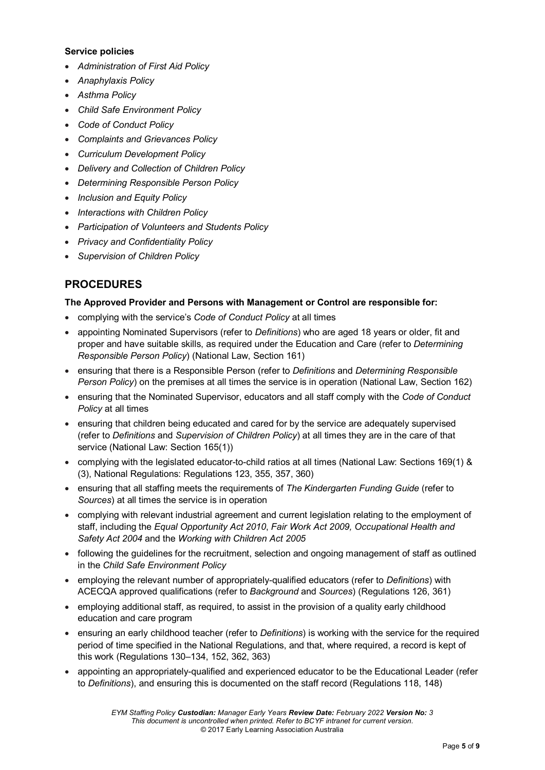#### **Service policies**

- *Administration of First Aid Policy*
- *Anaphylaxis Policy*
- *Asthma Policy*
- *Child Safe Environment Policy*
- *Code of Conduct Policy*
- *Complaints and Grievances Policy*
- *Curriculum Development Policy*
- *Delivery and Collection of Children Policy*
- *Determining Responsible Person Policy*
- *Inclusion and Equity Policy*
- *Interactions with Children Policy*
- *Participation of Volunteers and Students Policy*
- *Privacy and Confidentiality Policy*
- *Supervision of Children Policy*

## **PROCEDURES**

### **The Approved Provider and Persons with Management or Control are responsible for:**

- complying with the service's *Code of Conduct Policy* at all times
- appointing Nominated Supervisors (refer to *Definitions*) who are aged 18 years or older, fit and proper and have suitable skills, as required under the Education and Care (refer to *Determining Responsible Person Policy*) (National Law, Section 161)
- ensuring that there is a Responsible Person (refer to *Definitions* and *Determining Responsible Person Policy*) on the premises at all times the service is in operation (National Law, Section 162)
- ensuring that the Nominated Supervisor, educators and all staff comply with the *Code of Conduct Policy* at all times
- ensuring that children being educated and cared for by the service are adequately supervised (refer to *Definitions* and *Supervision of Children Policy*) at all times they are in the care of that service (National Law: Section 165(1))
- complying with the legislated educator-to-child ratios at all times (National Law: Sections 169(1) & (3), National Regulations: Regulations 123, 355, 357, 360)
- ensuring that all staffing meets the requirements of *The Kindergarten Funding Guide* (refer to *Sources*) at all times the service is in operation
- complying with relevant industrial agreement and current legislation relating to the employment of staff, including the *Equal Opportunity Act 2010*, *Fair Work Act 2009, Occupational Health and Safety Act 2004* and the *Working with Children Act 2005*
- following the guidelines for the recruitment, selection and ongoing management of staff as outlined in the *Child Safe Environment Policy*
- employing the relevant number of appropriately-qualified educators (refer to *Definitions*) with ACECQA approved qualifications (refer to *Background* and *Sources*) (Regulations 126, 361)
- employing additional staff, as required, to assist in the provision of a quality early childhood education and care program
- ensuring an early childhood teacher (refer to *Definitions*) is working with the service for the required period of time specified in the National Regulations, and that, where required, a record is kept of this work (Regulations 130–134, 152, 362, 363)
- appointing an appropriately-qualified and experienced educator to be the Educational Leader (refer to *Definitions*), and ensuring this is documented on the staff record (Regulations 118, 148)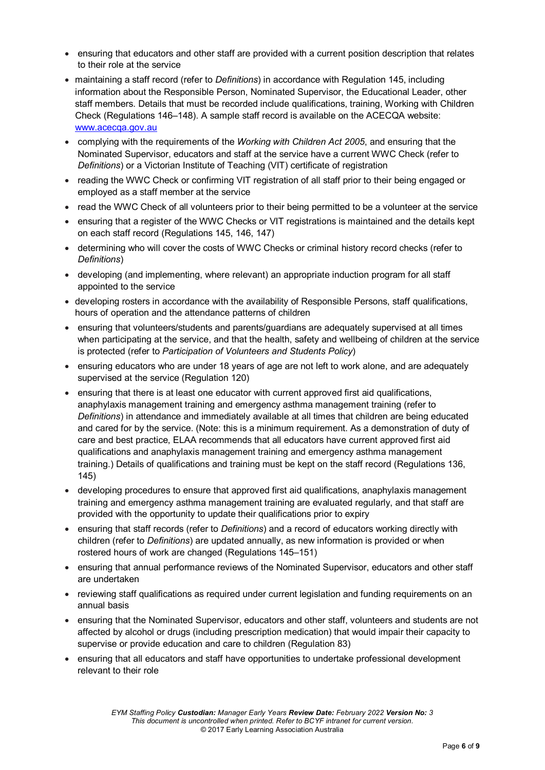- ensuring that educators and other staff are provided with a current position description that relates to their role at the service
- maintaining a staff record (refer to *Definitions*) in accordance with Regulation 145, including information about the Responsible Person, Nominated Supervisor, the Educational Leader, other staff members. Details that must be recorded include qualifications, training, Working with Children Check (Regulations 146–148). A sample staff record is available on the ACECQA website: [www.acecqa.gov.au](http://www.acecqa.gov.au/)
- complying with the requirements of the *Working with Children Act 2005*, and ensuring that the Nominated Supervisor, educators and staff at the service have a current WWC Check (refer to *Definitions*) or a Victorian Institute of Teaching (VIT) certificate of registration
- reading the WWC Check or confirming VIT registration of all staff prior to their being engaged or employed as a staff member at the service
- read the WWC Check of all volunteers prior to their being permitted to be a volunteer at the service
- ensuring that a register of the WWC Checks or VIT registrations is maintained and the details kept on each staff record (Regulations 145, 146, 147)
- determining who will cover the costs of WWC Checks or criminal history record checks (refer to *Definitions*)
- developing (and implementing, where relevant) an appropriate induction program for all staff appointed to the service
- developing rosters in accordance with the availability of Responsible Persons, staff qualifications, hours of operation and the attendance patterns of children
- ensuring that volunteers/students and parents/guardians are adequately supervised at all times when participating at the service, and that the health, safety and wellbeing of children at the service is protected (refer to *Participation of Volunteers and Students Policy*)
- ensuring educators who are under 18 years of age are not left to work alone, and are adequately supervised at the service (Regulation 120)
- ensuring that there is at least one educator with current approved first aid qualifications, anaphylaxis management training and emergency asthma management training (refer to *Definitions*) in attendance and immediately available at all times that children are being educated and cared for by the service. (Note: this is a minimum requirement. As a demonstration of duty of care and best practice, ELAA recommends that all educators have current approved first aid qualifications and anaphylaxis management training and emergency asthma management training.) Details of qualifications and training must be kept on the staff record (Regulations 136, 145)
- developing procedures to ensure that approved first aid qualifications, anaphylaxis management training and emergency asthma management training are evaluated regularly, and that staff are provided with the opportunity to update their qualifications prior to expiry
- ensuring that staff records (refer to *Definitions*) and a record of educators working directly with children (refer to *Definitions*) are updated annually, as new information is provided or when rostered hours of work are changed (Regulations 145–151)
- ensuring that annual performance reviews of the Nominated Supervisor, educators and other staff are undertaken
- reviewing staff qualifications as required under current legislation and funding requirements on an annual basis
- ensuring that the Nominated Supervisor, educators and other staff, volunteers and students are not affected by alcohol or drugs (including prescription medication) that would impair their capacity to supervise or provide education and care to children (Regulation 83)
- ensuring that all educators and staff have opportunities to undertake professional development relevant to their role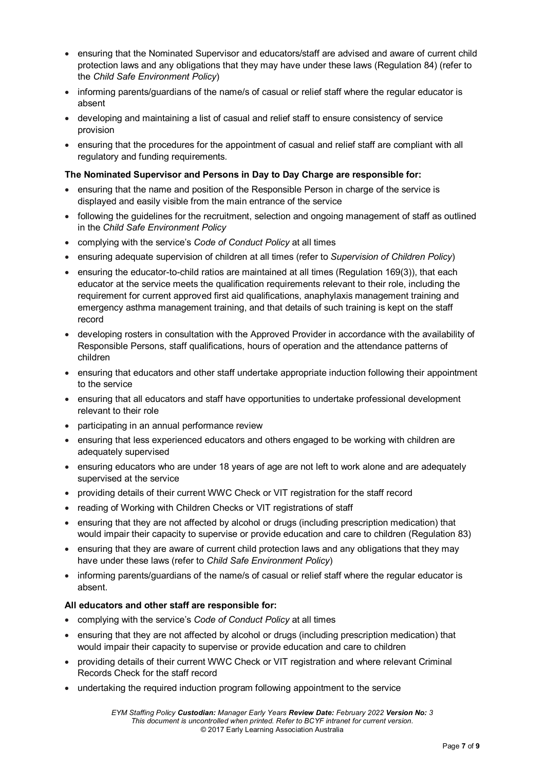- ensuring that the Nominated Supervisor and educators/staff are advised and aware of current child protection laws and any obligations that they may have under these laws (Regulation 84) (refer to the *Child Safe Environment Policy*)
- informing parents/guardians of the name/s of casual or relief staff where the regular educator is absent
- developing and maintaining a list of casual and relief staff to ensure consistency of service provision
- ensuring that the procedures for the appointment of casual and relief staff are compliant with all regulatory and funding requirements.

#### **The Nominated Supervisor and Persons in Day to Day Charge are responsible for:**

- ensuring that the name and position of the Responsible Person in charge of the service is displayed and easily visible from the main entrance of the service
- following the guidelines for the recruitment, selection and ongoing management of staff as outlined in the *Child Safe Environment Policy*
- complying with the service's *Code of Conduct Policy* at all times
- ensuring adequate supervision of children at all times (refer to *Supervision of Children Policy*)
- ensuring the educator-to-child ratios are maintained at all times (Regulation 169(3)), that each educator at the service meets the qualification requirements relevant to their role, including the requirement for current approved first aid qualifications, anaphylaxis management training and emergency asthma management training, and that details of such training is kept on the staff record
- developing rosters in consultation with the Approved Provider in accordance with the availability of Responsible Persons, staff qualifications, hours of operation and the attendance patterns of children
- ensuring that educators and other staff undertake appropriate induction following their appointment to the service
- ensuring that all educators and staff have opportunities to undertake professional development relevant to their role
- participating in an annual performance review
- ensuring that less experienced educators and others engaged to be working with children are adequately supervised
- ensuring educators who are under 18 years of age are not left to work alone and are adequately supervised at the service
- providing details of their current WWC Check or VIT registration for the staff record
- reading of Working with Children Checks or VIT registrations of staff
- ensuring that they are not affected by alcohol or drugs (including prescription medication) that would impair their capacity to supervise or provide education and care to children (Regulation 83)
- ensuring that they are aware of current child protection laws and any obligations that they may have under these laws (refer to *Child Safe Environment Policy*)
- informing parents/guardians of the name/s of casual or relief staff where the regular educator is absent.

#### **All educators and other staff are responsible for:**

- complying with the service's *Code of Conduct Policy* at all times
- ensuring that they are not affected by alcohol or drugs (including prescription medication) that would impair their capacity to supervise or provide education and care to children
- providing details of their current WWC Check or VIT registration and where relevant Criminal Records Check for the staff record
- undertaking the required induction program following appointment to the service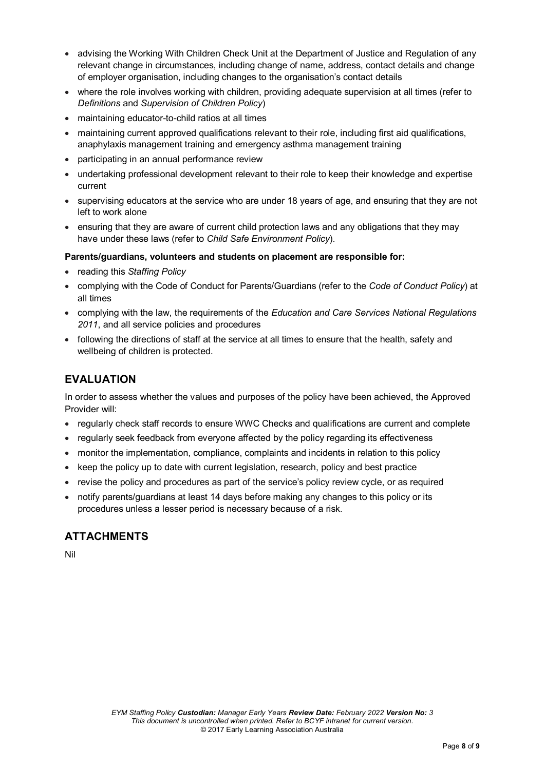- advising the Working With Children Check Unit at the Department of Justice and Regulation of any relevant change in circumstances, including change of name, address, contact details and change of employer organisation, including changes to the organisation's contact details
- where the role involves working with children, providing adequate supervision at all times (refer to *Definitions* and *Supervision of Children Policy*)
- maintaining educator-to-child ratios at all times
- maintaining current approved qualifications relevant to their role, including first aid qualifications, anaphylaxis management training and emergency asthma management training
- participating in an annual performance review
- undertaking professional development relevant to their role to keep their knowledge and expertise current
- supervising educators at the service who are under 18 years of age, and ensuring that they are not left to work alone
- ensuring that they are aware of current child protection laws and any obligations that they may have under these laws (refer to *Child Safe Environment Policy*).

#### **Parents/guardians, volunteers and students on placement are responsible for:**

- reading this *Staffing Policy*
- complying with the Code of Conduct for Parents/Guardians (refer to the *Code of Conduct Policy*) at all times
- complying with the law, the requirements of the *Education and Care Services National Regulations 2011*, and all service policies and procedures
- following the directions of staff at the service at all times to ensure that the health, safety and wellbeing of children is protected.

## **EVALUATION**

In order to assess whether the values and purposes of the policy have been achieved, the Approved Provider will:

- regularly check staff records to ensure WWC Checks and qualifications are current and complete
- regularly seek feedback from everyone affected by the policy regarding its effectiveness
- monitor the implementation, compliance, complaints and incidents in relation to this policy
- keep the policy up to date with current legislation, research, policy and best practice
- revise the policy and procedures as part of the service's policy review cycle, or as required
- notify parents/guardians at least 14 days before making any changes to this policy or its procedures unless a lesser period is necessary because of a risk.

## **ATTACHMENTS**

Nil